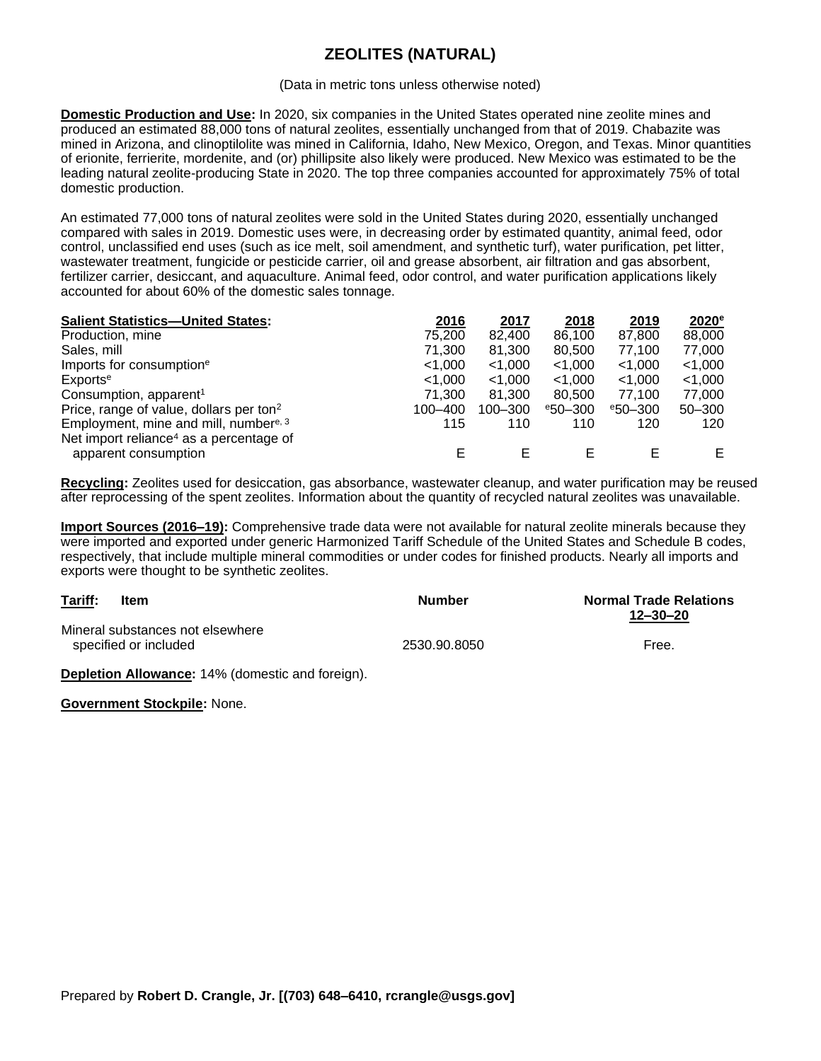## **ZEOLITES (NATURAL)**

## (Data in metric tons unless otherwise noted)

**Domestic Production and Use:** In 2020, six companies in the United States operated nine zeolite mines and produced an estimated 88,000 tons of natural zeolites, essentially unchanged from that of 2019. Chabazite was mined in Arizona, and clinoptilolite was mined in California, Idaho, New Mexico, Oregon, and Texas. Minor quantities of erionite, ferrierite, mordenite, and (or) phillipsite also likely were produced. New Mexico was estimated to be the leading natural zeolite-producing State in 2020. The top three companies accounted for approximately 75% of total domestic production.

An estimated 77,000 tons of natural zeolites were sold in the United States during 2020, essentially unchanged compared with sales in 2019. Domestic uses were, in decreasing order by estimated quantity, animal feed, odor control, unclassified end uses (such as ice melt, soil amendment, and synthetic turf), water purification, pet litter, wastewater treatment, fungicide or pesticide carrier, oil and grease absorbent, air filtration and gas absorbent, fertilizer carrier, desiccant, and aquaculture. Animal feed, odor control, and water purification applications likely accounted for about 60% of the domestic sales tonnage.

| <b>Salient Statistics-United States:</b>            | 2016    | 2017      | 2018       | 2019       | 2020 <sup>e</sup> |
|-----------------------------------------------------|---------|-----------|------------|------------|-------------------|
| Production, mine                                    | 75,200  | 82,400    | 86,100     | 87,800     | 88,000            |
| Sales, mill                                         | 71,300  | 81,300    | 80,500     | 77,100     | 77,000            |
| Imports for consumption <sup>e</sup>                | < 1.000 | $<$ 1,000 | $<$ 1,000  | < 1.000    | < 1.000           |
| Exports <sup>e</sup>                                | < 1.000 | < 1.000   | < 1.000    | < 1.000    | < 1.000           |
| Consumption, apparent <sup>1</sup>                  | 71.300  | 81.300    | 80,500     | 77.100     | 77,000            |
| Price, range of value, dollars per ton <sup>2</sup> | 100-400 | 100-300   | $e$ 50-300 | $e$ 50-300 | $50 - 300$        |
| Employment, mine and mill, number <sup>e, 3</sup>   | 115     | 110       | 110        | 120        | 120               |
| Net import reliance <sup>4</sup> as a percentage of |         |           |            |            |                   |
| apparent consumption                                | F       | F         |            | F          | E.                |

**Recycling:** Zeolites used for desiccation, gas absorbance, wastewater cleanup, and water purification may be reused after reprocessing of the spent zeolites. Information about the quantity of recycled natural zeolites was unavailable.

**Import Sources (2016–19):** Comprehensive trade data were not available for natural zeolite minerals because they were imported and exported under generic Harmonized Tariff Schedule of the United States and Schedule B codes, respectively, that include multiple mineral commodities or under codes for finished products. Nearly all imports and exports were thought to be synthetic zeolites.

| Tariff: | <b>Item</b>                                               | Number       | <b>Normal Trade Relations</b><br>12-30-20 |  |
|---------|-----------------------------------------------------------|--------------|-------------------------------------------|--|
|         | Mineral substances not elsewhere<br>specified or included | 2530.90.8050 | Free.                                     |  |

**Depletion Allowance:** 14% (domestic and foreign).

**Government Stockpile:** None.